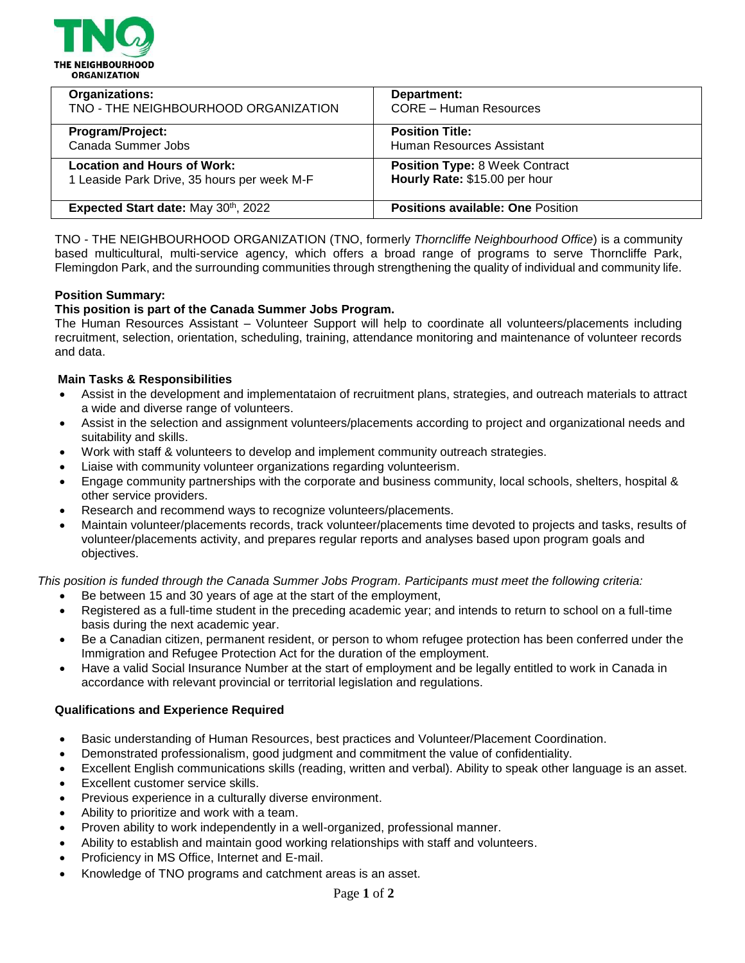

| Organizations:                              | Department:                              |
|---------------------------------------------|------------------------------------------|
| TNO - THE NEIGHBOURHOOD ORGANIZATION        | <b>CORE - Human Resources</b>            |
| Program/Project:                            | <b>Position Title:</b>                   |
| Canada Summer Jobs                          | Human Resources Assistant                |
| <b>Location and Hours of Work:</b>          | <b>Position Type: 8 Week Contract</b>    |
| 1 Leaside Park Drive, 35 hours per week M-F | Hourly Rate: \$15.00 per hour            |
| Expected Start date: May 30th, 2022         | <b>Positions available: One Position</b> |

TNO - THE NEIGHBOURHOOD ORGANIZATION (TNO, formerly *Thorncliffe Neighbourhood Office*) is a community based multicultural, multi-service agency, which offers a broad range of programs to serve Thorncliffe Park, Flemingdon Park, and the surrounding communities through strengthening the quality of individual and community life.

### **Position Summary:**

## **This position is part of the Canada Summer Jobs Program.**

The Human Resources Assistant – Volunteer Support will help to coordinate all volunteers/placements including recruitment, selection, orientation, scheduling, training, attendance monitoring and maintenance of volunteer records and data.

### **Main Tasks & Responsibilities**

- Assist in the development and implementataion of recruitment plans, strategies, and outreach materials to attract a wide and diverse range of volunteers.
- Assist in the selection and assignment volunteers/placements according to project and organizational needs and suitability and skills.
- Work with staff & volunteers to develop and implement community outreach strategies.
- Liaise with community volunteer organizations regarding volunteerism.
- Engage community partnerships with the corporate and business community, local schools, shelters, hospital & other service providers.
- Research and recommend ways to recognize volunteers/placements.
- Maintain volunteer/placements records, track volunteer/placements time devoted to projects and tasks, results of volunteer/placements activity, and prepares regular reports and analyses based upon program goals and objectives.

*This position is funded through the Canada Summer Jobs Program. Participants must meet the following criteria:*

- Be between 15 and 30 years of age at the start of the employment,
- Registered as a full-time student in the preceding academic year; and intends to return to school on a full-time basis during the next academic year.
- Be a Canadian citizen, permanent resident, or person to whom refugee protection has been conferred under the Immigration and Refugee Protection Act for the duration of the employment.
- Have a valid Social Insurance Number at the start of employment and be legally entitled to work in Canada in accordance with relevant provincial or territorial legislation and regulations.

## **Qualifications and Experience Required**

- Basic understanding of Human Resources, best practices and Volunteer/Placement Coordination.
- Demonstrated professionalism, good judgment and commitment the value of confidentiality.
- Excellent English communications skills (reading, written and verbal). Ability to speak other language is an asset.
- Excellent customer service skills.
- Previous experience in a culturally diverse environment.
- Ability to prioritize and work with a team.
- Proven ability to work independently in a well-organized, professional manner.
- Ability to establish and maintain good working relationships with staff and volunteers.
- Proficiency in MS Office, Internet and E-mail.
- Knowledge of TNO programs and catchment areas is an asset.